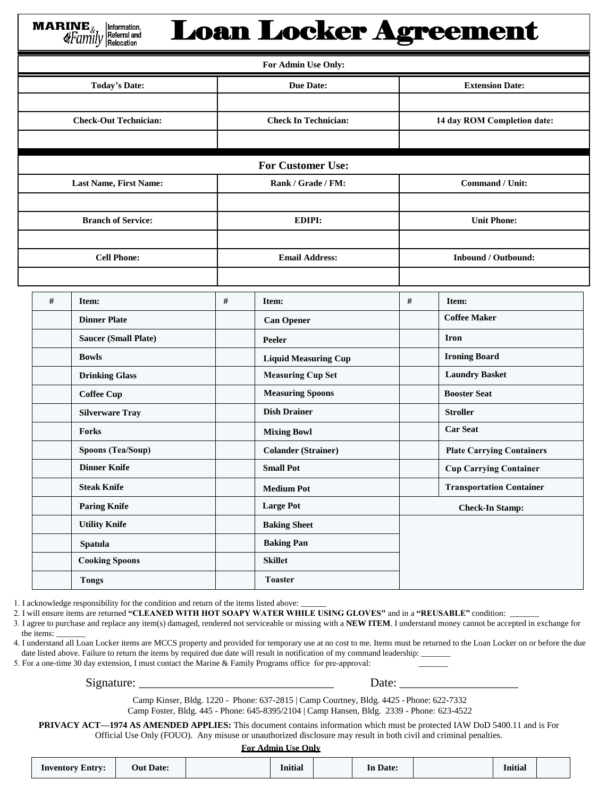**Loan Locker Agreement MARINE** Information. Referral and ≰Family Relocation **For Admin Use Only: Today's Date: Due Date: Extension Date: Check-Out Technician: Check In Technician: 14 day ROM Completion date: For Customer Use: Last Name, First Name: Rank** / Grade / **FM: Command** / Unit: **Branch of Service: EDIPI: Unit Phone: Cell Phone: Email Address: Inbound / Outbound: # Item: # Item: # Item:**

| # | Item:                       | # | Item:                       | # | Item:                            |
|---|-----------------------------|---|-----------------------------|---|----------------------------------|
|   | <b>Dinner Plate</b>         |   | <b>Can Opener</b>           |   | <b>Coffee Maker</b>              |
|   | <b>Saucer (Small Plate)</b> |   | Peeler                      |   | <b>Iron</b>                      |
|   | <b>Bowls</b>                |   | <b>Liquid Measuring Cup</b> |   | <b>Ironing Board</b>             |
|   | <b>Drinking Glass</b>       |   | <b>Measuring Cup Set</b>    |   | <b>Laundry Basket</b>            |
|   | <b>Coffee Cup</b>           |   | <b>Measuring Spoons</b>     |   | <b>Booster Seat</b>              |
|   | <b>Silverware Tray</b>      |   | <b>Dish Drainer</b>         |   | <b>Stroller</b>                  |
|   | <b>Forks</b>                |   | <b>Mixing Bowl</b>          |   | <b>Car Seat</b>                  |
|   | Spoons (Tea/Soup)           |   | <b>Colander (Strainer)</b>  |   | <b>Plate Carrying Containers</b> |
|   | <b>Dinner Knife</b>         |   | <b>Small Pot</b>            |   | <b>Cup Carrying Container</b>    |
|   | <b>Steak Knife</b>          |   | <b>Medium Pot</b>           |   | <b>Transportation Container</b>  |
|   | <b>Paring Knife</b>         |   | <b>Large Pot</b>            |   | <b>Check-In Stamp:</b>           |
|   | <b>Utility Knife</b>        |   | <b>Baking Sheet</b>         |   |                                  |
|   | <b>Spatula</b>              |   | <b>Baking Pan</b>           |   |                                  |
|   | <b>Cooking Spoons</b>       |   | <b>Skillet</b>              |   |                                  |
|   | <b>Tongs</b>                |   | <b>Toaster</b>              |   |                                  |

1. I acknowledge responsibility for the condition and return of the items listed above:

2. I will ensure items are returned **"CLEANED WITH HOT SOAPY WATER WHILE USING GLOVES"** and in a **"REUSABLE"** condition: \_\_\_\_\_\_\_

3. I agree to purchase and replace any item(s) damaged, rendered not serviceable or missing with a **NEW ITEM**. I understand money cannot be accepted in exchange for the items:

4. I understand all Loan Locker items are MCCS property and provided for temporary use at no cost to me. Items must be returned to the Loan Locker on or before the due date listed above. Failure to return the items by required due date will result in notification of my command leadership:

5. For a one-time 30 day extension, I must contact the Marine & Family Programs office for pre-approval:

Signature: \_\_\_\_\_\_\_\_\_\_\_\_\_\_\_\_\_\_\_\_\_\_\_\_\_\_\_\_\_\_\_\_ Date: \_\_\_\_\_\_\_\_\_\_\_\_\_\_\_\_\_\_\_\_

Camp Kinser, Bldg. 1220 - Phone: 637-2815 | Camp Courtney, Bldg. 4425 - Phone: 622-7332

Camp Foster, Bldg. 445 - Phone: 645-8395/2104 | Camp Hansen, Bldg. 2339 - Phone: 623-4522

**PRIVACY ACT—1974 AS AMENDED APPLIES:** This document contains information which must be protected IAW DoD 5400.11 and is For Official Use Only (FOUO). Any misuse or unauthorized disclosure may result in both civil and criminal penalties.

### **For Admin Use Only**